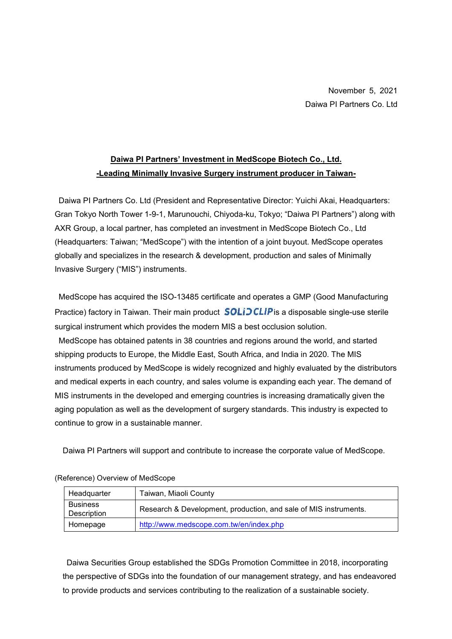## **Daiwa PI Partners' Investment in MedScope Biotech Co., Ltd. -Leading Minimally Invasive Surgery instrument producer in Taiwan-**

Daiwa PI Partners Co. Ltd (President and Representative Director: Yuichi Akai, Headquarters: Gran Tokyo North Tower 1-9-1, Marunouchi, Chiyoda-ku, Tokyo; "Daiwa PI Partners") along with AXR Group, a local partner, has completed an investment in MedScope Biotech Co., Ltd (Headquarters: Taiwan; "MedScope") with the intention of a joint buyout. MedScope operates globally and specializes in the research & development, production and sales of Minimally Invasive Surgery ("MIS") instruments.

MedScope has acquired the ISO-13485 certificate and operates a GMP (Good Manufacturing Practice) factory in Taiwan. Their main product  $SOLiDCLIP$  is a disposable single-use sterile surgical instrument which provides the modern MIS a best occlusion solution.

MedScope has obtained patents in 38 countries and regions around the world, and started shipping products to Europe, the Middle East, South Africa, and India in 2020. The MIS instruments produced by MedScope is widely recognized and highly evaluated by the distributors and medical experts in each country, and sales volume is expanding each year. The demand of MIS instruments in the developed and emerging countries is increasing dramatically given the aging population as well as the development of surgery standards. This industry is expected to continue to grow in a sustainable manner.

Daiwa PI Partners will support and contribute to increase the corporate value of MedScope.

| Headquarter                    | Taiwan, Miaoli County                                            |
|--------------------------------|------------------------------------------------------------------|
| <b>Business</b><br>Description | Research & Development, production, and sale of MIS instruments. |
| Homepage                       | http://www.medscope.com.tw/en/index.php                          |

(Reference) Overview of MedScope

Daiwa Securities Group established the SDGs Promotion Committee in 2018, incorporating the perspective of SDGs into the foundation of our management strategy, and has endeavored to provide products and services contributing to the realization of a sustainable society.